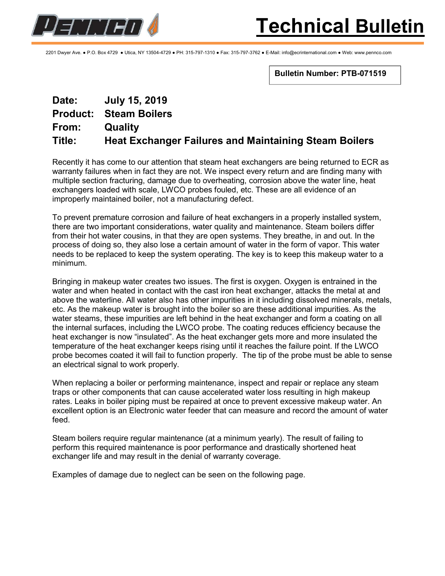

2201 Dwyer Ave. ● P.O. Box 4729 ● Utica, NY 13504-4729 ● PH: 315-797-1310 ● Fax: 315-797-3762 ● E-Mail: info@ecrinternational.com ● Web: www.pennco.com

Bulletin Number: PTB-071519

## Date: July 15, 2019 Product: Steam Boilers From: Quality Title: Heat Exchanger Failures and Maintaining Steam Boilers

Recently it has come to our attention that steam heat exchangers are being returned to ECR as warranty failures when in fact they are not. We inspect every return and are finding many with multiple section fracturing, damage due to overheating, corrosion above the water line, heat exchangers loaded with scale, LWCO probes fouled, etc. These are all evidence of an improperly maintained boiler, not a manufacturing defect.

To prevent premature corrosion and failure of heat exchangers in a properly installed system, there are two important considerations, water quality and maintenance. Steam boilers differ from their hot water cousins, in that they are open systems. They breathe, in and out. In the process of doing so, they also lose a certain amount of water in the form of vapor. This water needs to be replaced to keep the system operating. The key is to keep this makeup water to a minimum.

Bringing in makeup water creates two issues. The first is oxygen. Oxygen is entrained in the water and when heated in contact with the cast iron heat exchanger, attacks the metal at and above the waterline. All water also has other impurities in it including dissolved minerals, metals, etc. As the makeup water is brought into the boiler so are these additional impurities. As the water steams, these impurities are left behind in the heat exchanger and form a coating on all the internal surfaces, including the LWCO probe. The coating reduces efficiency because the heat exchanger is now "insulated". As the heat exchanger gets more and more insulated the temperature of the heat exchanger keeps rising until it reaches the failure point. If the LWCO probe becomes coated it will fail to function properly. The tip of the probe must be able to sense an electrical signal to work properly.

When replacing a boiler or performing maintenance, inspect and repair or replace any steam traps or other components that can cause accelerated water loss resulting in high makeup rates. Leaks in boiler piping must be repaired at once to prevent excessive makeup water. An excellent option is an Electronic water feeder that can measure and record the amount of water feed.

Steam boilers require regular maintenance (at a minimum yearly). The result of failing to perform this required maintenance is poor performance and drastically shortened heat exchanger life and may result in the denial of warranty coverage.

Examples of damage due to neglect can be seen on the following page.